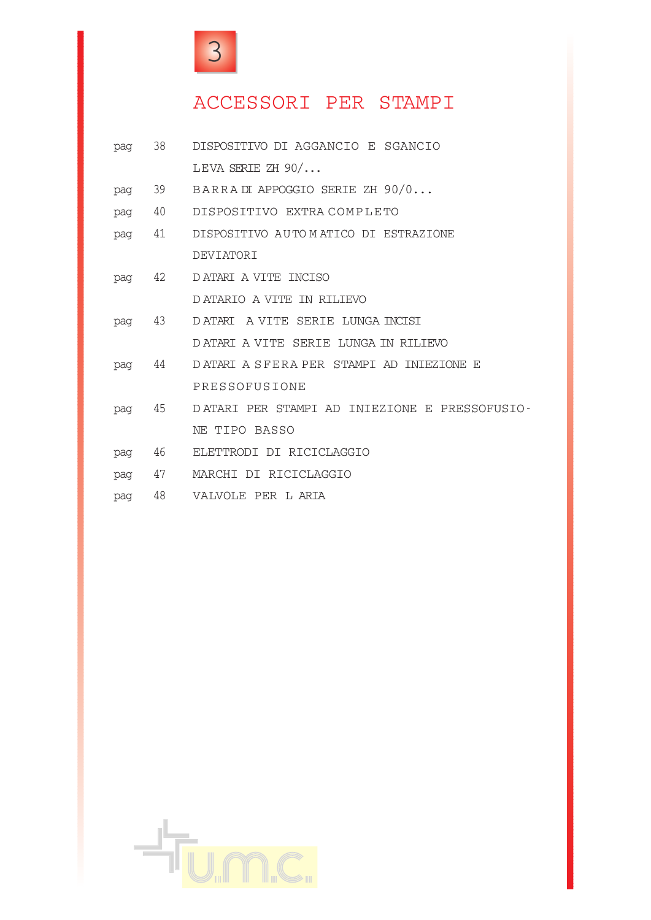

# ACCESSORI PER STAMPI

| pag | 38     | DISPOSITIVO DI AGGANCIO E SGANCIO             |
|-----|--------|-----------------------------------------------|
|     |        | LEVA SERIE ZH $90/$                           |
| pag | 39     | BARRADI APPOGGIO SERIE ZH 90/0                |
| pag | 40     | DISPOSITIVO EXTRA COMPLETO                    |
| pag | 41     | DISPOSITIVO AUTOMATICO DI ESTRAZIONE          |
|     |        | DEVIATORI                                     |
|     | pag 42 | DATARI A VITE INCISO                          |
|     |        | DATARIO A VITE IN RILIEVO                     |
| pag | 43     | DATARI A VITE SERIE LUNGA INCISI              |
|     |        | DATARI A VITE SERIE LUNGA IN RILIEVO          |
|     | pag 44 | DATARI A SFERA PER STAMPI AD INIEZIONE E      |
|     |        | PRESSOFUSIONE                                 |
| pag | 45     | DATARI PER STAMPI AD INIEZIONE E PRESSOFUSIO- |
|     |        | NE TIPO BASSO                                 |
| pag | 46     | ELETTRODI DI RICICLAGGIO                      |
| pag | 47     | MARCHI DI RICICLAGGIO                         |
| pag | 48     | VALVOLE PER L ARIA                            |

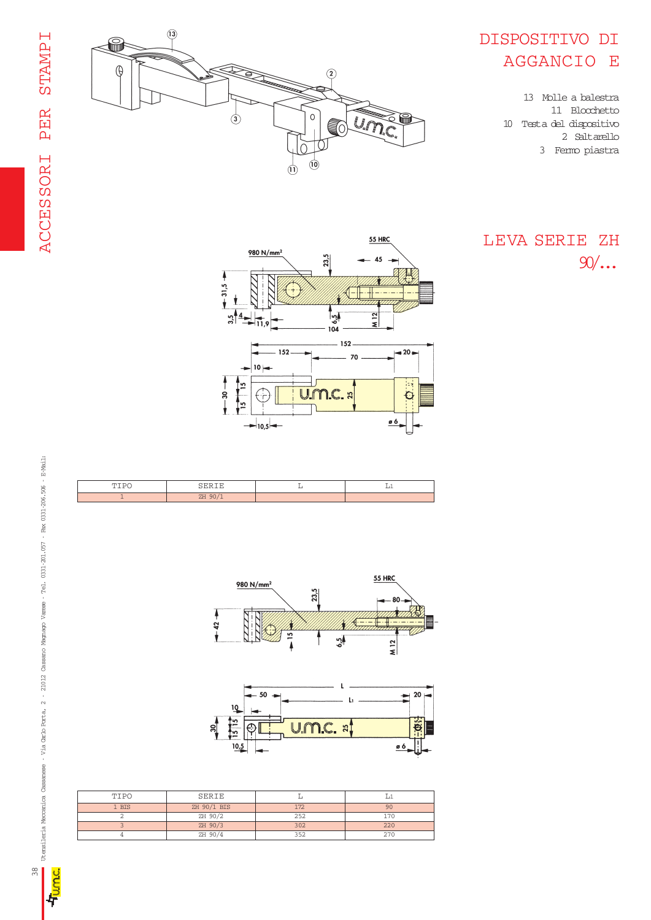

#### DISPOSITIVO DI AGGANCIO E

13 Molle a balestra 11 Blocchetto 10 Testa del dispositivo 2 Saltarello 3 Fermo piastra

LEVA SERIE ZH 90/...



**55 HRC** 







| TIPO  | SERIE       |     |     |
|-------|-------------|-----|-----|
| 1 BIS | ZH 90/1 BIS | 172 | 90  |
|       | ZH 90/2     | 252 | 170 |
|       | ZH 90/3     | 302 | 220 |
|       | ZH 90/4     | 352 | つワハ |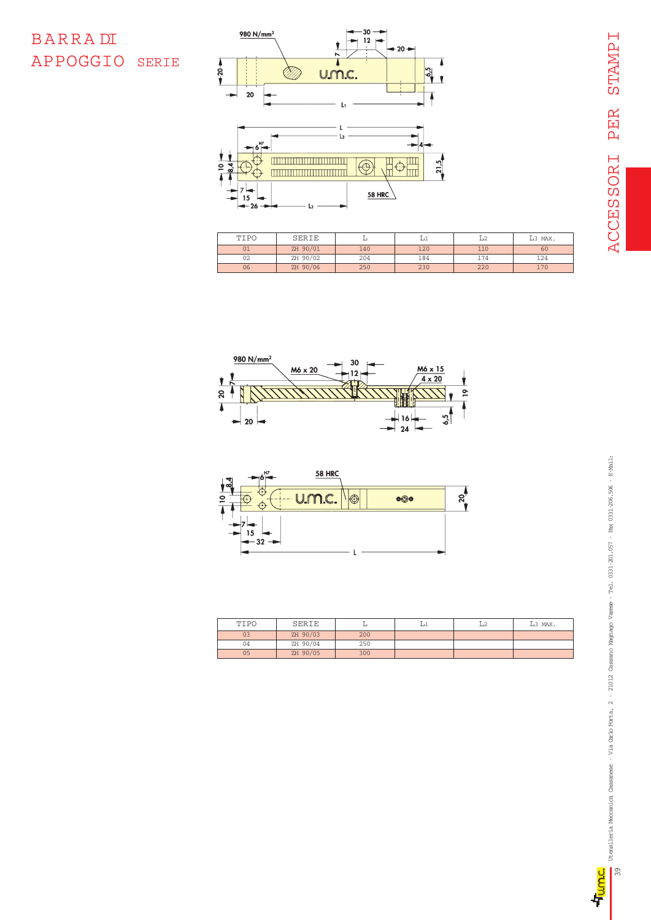#### BARRA DI APPOGGIO SERIE



| TIPO | SERIE    |     |     |     | L <sub>3</sub> MAX. |
|------|----------|-----|-----|-----|---------------------|
| 01   | ZH 90/01 | 140 | 120 | 110 | 60                  |
| 02   | ZH 90/02 | 204 | 184 | 174 | 124                 |
| 06   | ZH 90/06 | 250 | 230 | 220 | 170                 |





| TIPO | SERIE    |     | L2 | L <sub>3</sub> MAX. |
|------|----------|-----|----|---------------------|
| 03   | ZH 90/03 | 200 |    |                     |
| 04   | ZH 90/04 | 250 |    |                     |
| 05   | ZH 90/05 | 300 |    |                     |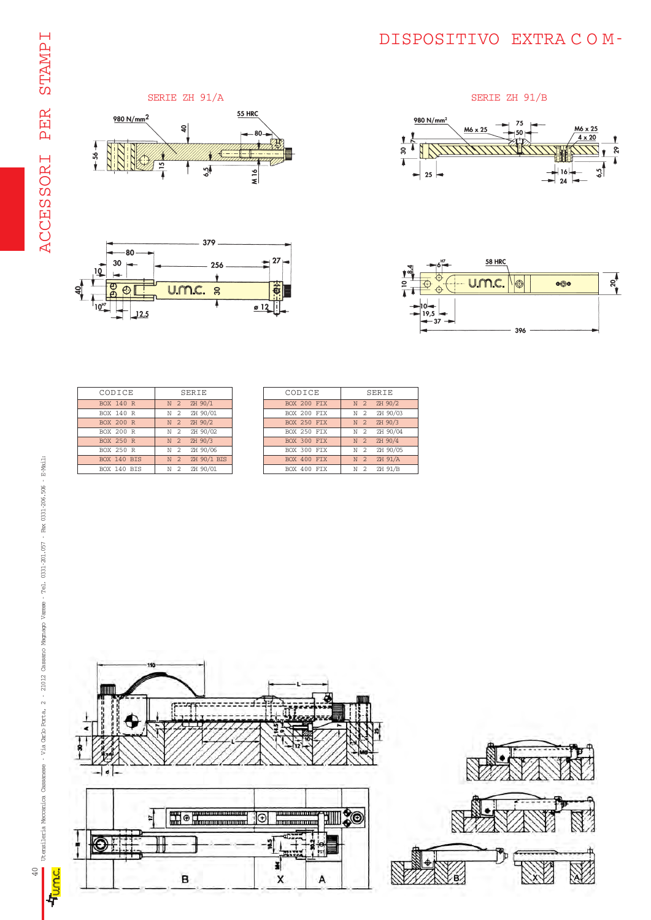#### DISPOSITIVO EXTRA C O M-











| CODICE             | SERIE                      |
|--------------------|----------------------------|
| <b>BOX 140 R</b>   | N 2 ZH 90/1                |
| <b>BOX 140 R</b>   | N 2 ZH 90/01               |
| <b>BOX 200 R</b>   | N 2 ZH 90/2                |
| <b>BOX 200 R</b>   | N 2 ZH 90/02               |
| <b>BOX 250 R</b>   | N 2 ZH 90/3                |
| <b>BOX 250 R</b>   | ZH 90/06<br>N <sub>2</sub> |
| BOX 140 BIS        | N 2 ZH 90/1 BIS            |
| <b>BOX 140 BTS</b> | N 2 ZH 90/01               |

| CODICE      | SERIE                          |
|-------------|--------------------------------|
| BOX 200 FIX | N 2 ZH 90/2                    |
| BOX 200 FIX | N 2 ZH 90/03                   |
| BOX 250 FIX | N 2 ZH 90/3                    |
| BOX 250 FIX | N 2 ZH 90/04                   |
| BOX 300 FIX | N 2 ZH 90/4                    |
| BOX 300 FIX | N 2 ZH 90/05                   |
| BOX 400 FIX | N 2 ZH 91/A                    |
| BOX 400 FTX | ZH 91/B<br>$\overline{2}$<br>N |

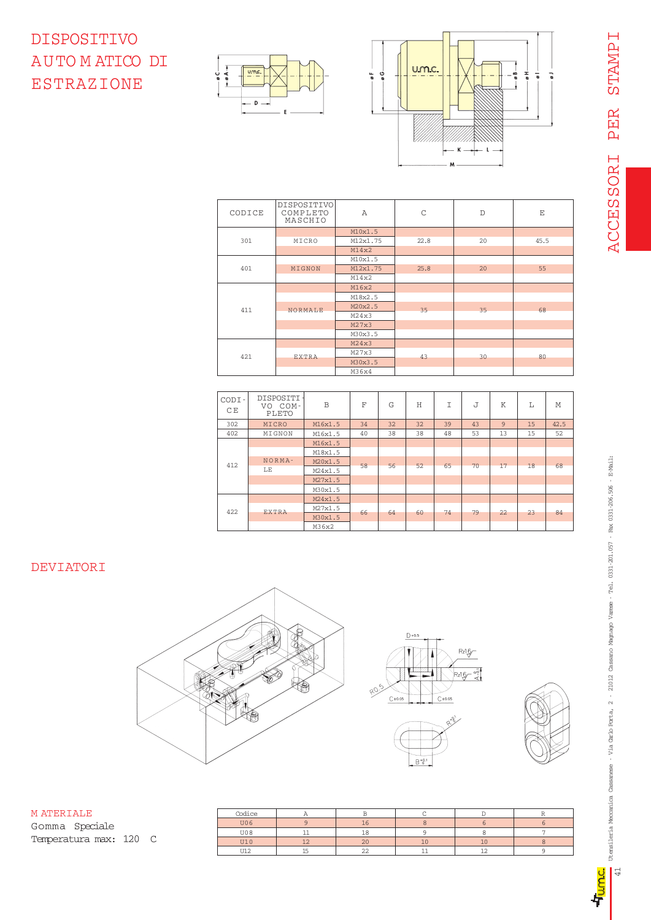# DISPOSITIVO AUTO M ATICO DI ESTRAZIONE





| CODICE | DISPOSITIVO<br>COMPLETO<br>MASCHIO | A        | C    | $\mathbb{D}$ | E    |
|--------|------------------------------------|----------|------|--------------|------|
|        |                                    | M10x1.5  |      |              |      |
| 301    | MICRO                              | M12x1.75 | 22.8 | 20           | 45.5 |
|        |                                    | M14x2    |      |              |      |
|        |                                    | M10x1.5  |      |              |      |
| 401    | MIGNON                             | M12x1.75 | 25.8 | 20           | 55   |
|        |                                    | M14x2    |      |              |      |
|        |                                    | M16x2    |      |              |      |
|        |                                    | M18x2.5  |      |              |      |
| 411    | <b>NORMALE</b>                     | M20x2.5  | 35   | 35           | 68   |
|        |                                    | M24x3    |      |              |      |
|        |                                    | M27x3    |      |              |      |
|        |                                    | M30x3.5  |      |              |      |
|        |                                    | M24x3    |      |              |      |
| 421    | <b>EXTRA</b>                       | M27x3    | 43   | 30           | 80   |
|        |                                    | M30x3.5  |      |              |      |
|        |                                    | M36x4    |      |              |      |

| CODI-<br>СE | DISPOSITI ·<br>VO COM-<br>PLETO | B       | F  | G  | Ħ  | Τ  | J  | Κ  | T. | M    |
|-------------|---------------------------------|---------|----|----|----|----|----|----|----|------|
| 302         | MICRO                           | M16x1.5 | 34 | 32 | 32 | 39 | 43 | 9  | 15 | 42.5 |
| 402         | MIGNON                          | M16x1.5 | 40 | 38 | 38 | 48 | 53 | 13 | 15 | 52   |
|             |                                 | M16x1.5 |    |    |    |    |    |    |    |      |
|             |                                 | M18x1.5 |    |    |    |    |    |    |    |      |
| 412         | NORMA-                          | M20x1.5 | 58 | 56 | 52 | 65 | 70 | 17 | 18 | 68   |
|             | LE                              | M24x1.5 |    |    |    |    |    |    |    |      |
|             |                                 | M27x1.5 |    |    |    |    |    |    |    |      |
|             |                                 | M30x1.5 |    |    |    |    |    |    |    |      |
|             |                                 | M24x1.5 |    |    |    |    |    |    |    |      |
| 422         |                                 | M27x1.5 |    | 64 |    |    | 79 |    |    |      |
|             | EXTRA                           | M30x1.5 | 66 |    | 60 | 74 |    | 22 | 23 | 84   |
|             |                                 | M36x2   |    |    |    |    |    |    |    |      |

#### DEVIATORI



| MATERTALE              | Codice |    |    |    |  |
|------------------------|--------|----|----|----|--|
| Gomma Speciale         | U06    | 16 |    |    |  |
|                        | U08    | 18 |    |    |  |
| Temperatura max: 120 C | U10    | 20 | 10 | 10 |  |
|                        | U12    | 22 |    |    |  |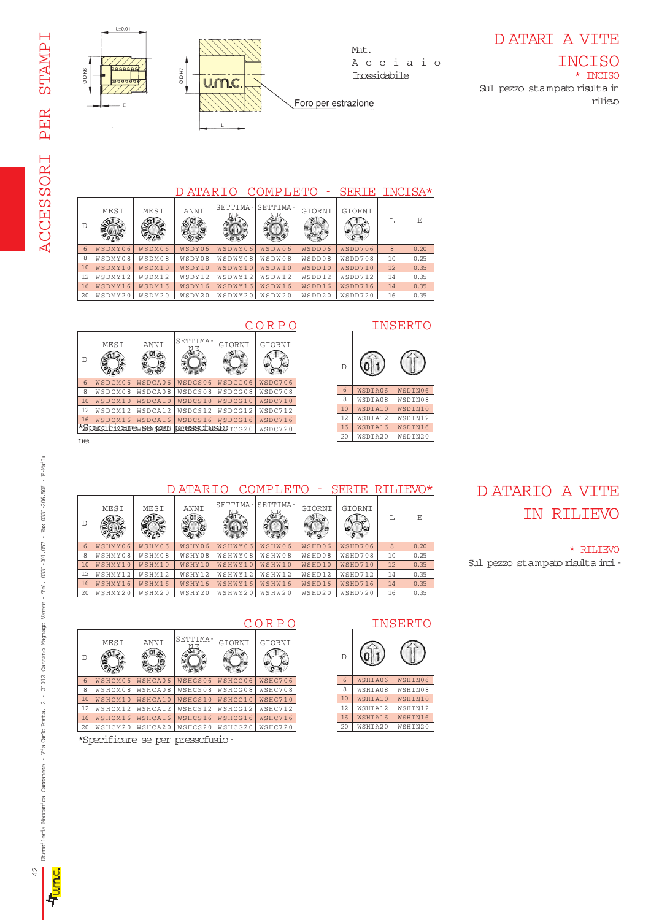

Mat. Acciaio Inossidabile

#### D ATARI A VITE

\* INCISO Sul pezzo stampato risulta in rilievo INCISO

#### D ATARIO COMPLETO - SERIE INCISA\*

Foro per estrazione

SETTIMA- GIORNI GIORNI

D ATARIO COMPLETO - SERIE RILIEVO\*

WSHD06 WSHD08 WSHD10

| Ð  | MESI    | MESI   | ANNI   | 'SETTIMA | SETTIMA- | GIORNI | GIORNI<br><b>ור ביו</b> | т.            | E    |
|----|---------|--------|--------|----------|----------|--------|-------------------------|---------------|------|
| 6  | WSDMY06 | WSDM06 | WSDY06 | WSDWY06  | WSDW06   | WSDD06 | WSDD706                 | $\mathcal{B}$ | 0.20 |
| 8  | WSDMY08 | WSDM08 | WSDY08 | WSDWY08  | WSDW08   | WSDD08 | WSDD708                 | 10            | 0.25 |
| 10 | WSDMY10 | WSDM10 | WSDY10 | WSDWY10  | WSDW10   | WSDD10 | WSDD710                 | 12            | 0.35 |
| 12 | WSDMY12 | WSDM12 | WSDY12 | WSDWY12  | WSDW12   | WSDD12 | WSDD712                 | 14            | 0.35 |
| 16 | WSDMY16 | WSDM16 | WSDY16 | WSDWY16  | WSDW16   | WSDD16 | WSDD716                 | 14            | 0.35 |
| 20 | WSDMY20 | WSDM20 | WSDY20 | WSDWY20  | WSDW20   | WSDD20 | WSDD720                 | 16            | 0.35 |



#### CORPO INSERTO  $0<sup>1</sup>$ D 6 WSDIA06 WSDIN06 8 WSDIA08 WSDIN08 10 WSDIA10 WSDIN10 12 WSDIA12 WSDIN12 16 WSDIA16 WSDIN16 20 WSDIA20 WSDIN20

L E

0.20 0.25 0.35 0.35 0.35 0.35

WSHD706 WSHD708 WSHD710

 $\frac{1}{2}$ 



#### D ATARIO A VITE IN RILIEVO

\* RILIEVO Sul pezzo stampato risulta inci-



WSHWY06 WSHWY08 WSHWY10

WSHW06 WSHW08 WSHW10



MESI MESI ANNI SETTIMA-

WSHY06 WSHY08 WSHY10

 $\frac{1}{20}$ 

ECOS

WSHM10

\*Specificare se per pressofusio-



D

WSHMY06 WSHMY08 WSHM08 WSHMY10

 $\sigma_{\theta Z}$ 

D

ne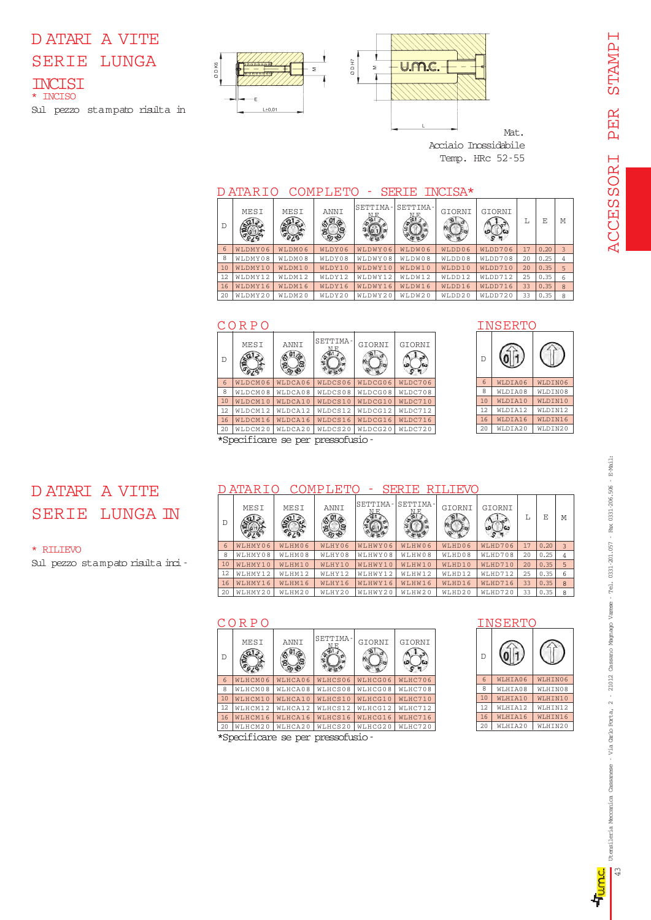#### D ATARI A VITE SERIE LUNGA INCISI \* INCISO Sul pezzo stampato risulta in



Mat. Acciaio Inossidabile Temp. HRc 52-55

#### D ATARIO COMPLETO - SERIE INCISA\*

| $\Gamma$ | MESI    | MESI   | ANNI   | SETTIMA- | SETTIMA- | GIORNI | GIORNI  | Т, | F.   | M |
|----------|---------|--------|--------|----------|----------|--------|---------|----|------|---|
| 6        | WLDMY06 | WLDM06 | WLDY06 | WLDWY06  | WLDW06   | WLDD06 | WLDD706 | 17 | 0.20 | 3 |
| 8        | WLDMY08 | WLDM08 | WLDY08 | WLDWY08  | WLDW08   | WLDD08 | WLDD708 | 20 | 0.25 |   |
| 10       | WLDMY10 | WLDM10 | WLDY10 | WIDWY10  | WLDW10   | WLDD10 | WLDD710 | 20 | 0.35 | 5 |
| 12       | WLDMY12 | WLDM12 | WLDY12 | WLDWY12  | WLDW12   | WLDD12 | WLDD712 | 25 | 0.35 | 6 |
| 16       | WLDMY16 | WLDM16 | WLDY16 | WLDWY16  | WLDW16   | WLDD16 | WLDD716 | 33 | 0.35 | 8 |
| 20       | WLDMY20 | WLDM20 | WLDY20 | WLDWY20  | WLDW20   | WLDD20 | WLDD720 | 33 | 0.35 | 8 |

|     | CORPO                                               |         |                            |         |         |  |  |  |  |  |  |
|-----|-----------------------------------------------------|---------|----------------------------|---------|---------|--|--|--|--|--|--|
| D   | MESI                                                | ANNI    | SETTIMA-                   | GIORNI  | GIORNI  |  |  |  |  |  |  |
| 6   | WLDCM06                                             | WLDCA06 | WLDCS06                    | WLDCG06 | WLDC706 |  |  |  |  |  |  |
| 8   | WLDCM08                                             | WLDCA08 | WLDCS08                    | WLDCG08 | WLDC708 |  |  |  |  |  |  |
| 10  | WLDCM10                                             | WLDCA10 | WLDCS10                    | WLDCG10 | WLDC710 |  |  |  |  |  |  |
| 12. | WLDCM12                                             | WLDCA12 | WLDCS12                    | WLDCG12 | WLDC712 |  |  |  |  |  |  |
| 16  | WLDCM16                                             | WLDCA16 | WLDCS16                    | WLDCG16 | WLDC716 |  |  |  |  |  |  |
| 20  | WLDCM20<br>WLDCA20<br>WLDCS20<br>WLDCG20<br>WLDC720 |         |                            |         |         |  |  |  |  |  |  |
|     |                                                     |         | ficare se per pressofusio- |         |         |  |  |  |  |  |  |



# D ATARI A VITE SERIE LUNGA IN

Sul pezzo stampato risulta inci-

\* RILIEVO

#### D ATARIO COMPLETO - SERIE RILIEVO

| D  | MESI     | MESI   | ANNI   | SETTIMA- | SETTIMA- | GIORNI | GIORNI  | Ιı. | F.   | M            |
|----|----------|--------|--------|----------|----------|--------|---------|-----|------|--------------|
| 6  | WLHMY06  | WLHM06 | WLHY06 | WLHWY06  | WLHW06   | WLHD06 | WLHD706 | 17  | 0.20 | 3            |
| 8  | WLHMY08  | WLHM08 | WLHY08 | WLHWY08  | WLHW08   | WLHD08 | WLHD708 | 20  | 0.25 |              |
| 10 | WLHMY10  | WLHM10 | WLHY10 | WLHWY10  | WLHW10   | WLHD10 | WLHD710 | 20  | 0.35 |              |
| 12 | WI.HMY12 | WLHM12 | WLHY12 | WLHWY12  | WLHW12   | WLHD12 | WLHD712 | 25  | 0.35 | 6            |
| 16 | WLHMY16  | WLHM16 | WLHY16 | WLHWY16  | WLHW16   | WLHD16 | WLHD716 | 33  | 0.35 | $\mathbf{8}$ |
| 20 | WLHMY20  | WLHM20 | WLHY20 | WLHWY20  | WLHW20   | WLHD20 | WLHD720 | 33  | 0.35 | 8            |

#### CORPO INSERTO MESI ANNI SETTIMA GIORNI GIORNI D **BOO** WLHCM06 WLHCA06 WLHCS06 WLHCG06 6 WLHC  $\overline{8}$ WLHCM08 WLHCA08 WLHCS08 WLHCG08 WLHC708 WLHCG10 10 WLHC710 WLHCM10 WLHCA10 WLHCS10 12 WLHCM12 WLHCA12 WLHCS12 WLHCG12 WLHC712 16 WLHCM16 WLHCA16 WLHCS16 WLHCG16 WLHC716 20 WLHCM20 | WLHCA20 | WLHCG20 | WLHC720 \*Specificare se per pressofusio-



# Jeansileria Meccanica Cassanese – Via Carlo Porta, 2 – 21012 Cassano Magnago Varese – Tel. 0331-201.057 – Fax 0331-206.506 – E-Mail. 43 Utensileria Meccanica Cassanese - Via Carlo Porta, 2 - 21012 Cassano Magnago Varese - Tel. 0331-201.057 - Fax 0331-206.506 - E-Mail:<mark>CC</mark>

 $\mathsf{I}^\mathfrak{D}$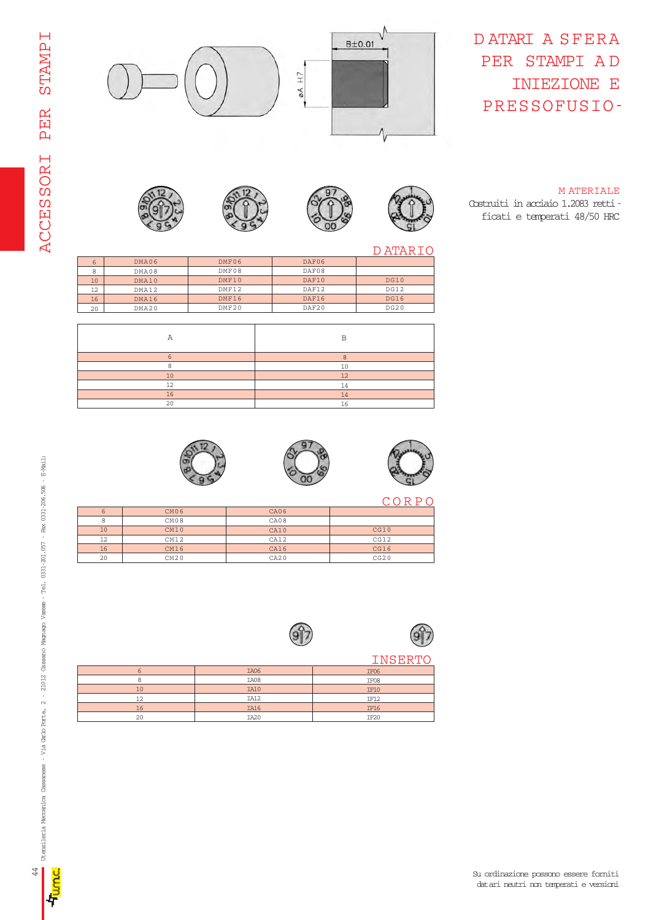

#### D ATARI A SFERA PER STAMPI A D INIEZIONE E PRESSOFUSIO-

#### M ATERIALE Costruiti in acciaio 1.2083 retti ficati e temperati 48/50 HRC





























| 71 m 71 |
|---------|

|       |       |       | D ATAR      |
|-------|-------|-------|-------------|
| DMA06 | DMF06 | DAF06 |             |
| DMA08 | DMF08 | DAF08 |             |
| DMA10 | DMF10 | DAF10 | DG10        |
| DMA12 | DMF12 | DAF12 | DG12        |
| DMA16 | DMF16 | DAF16 | <b>DG16</b> |
| DMA20 | DMF20 | DAF20 | DG20        |
|       |       |       |             |
|       |       |       |             |

|    | $\mathbf{D}$ |
|----|--------------|
|    |              |
|    | 10           |
| 10 | 12           |
| 12 | 14           |
| 16 | 14           |
| 20 | .6           |
|    |              |



















| 6  | CM <sub>06</sub> | CA06    |      |
|----|------------------|---------|------|
| 8  | CM08             | CA08    |      |
| 10 | CM10             | CA10    | CG10 |
| 12 | CM12             | CA12    | CG12 |
| 16 | CM16             | CA16    | CG16 |
| 20 | CM20             | C A 2 0 | CG20 |



|    | IA06             | IF06             |
|----|------------------|------------------|
|    | IA08             | IF08             |
| 10 | IA10             | IF10             |
| 12 | IA12             | IF12             |
| 16 | <b>IA16</b>      | <b>IF16</b>      |
| 20 | IA <sub>20</sub> | IF <sub>20</sub> |

i<br>Li i<br>L

ion<br>C 辈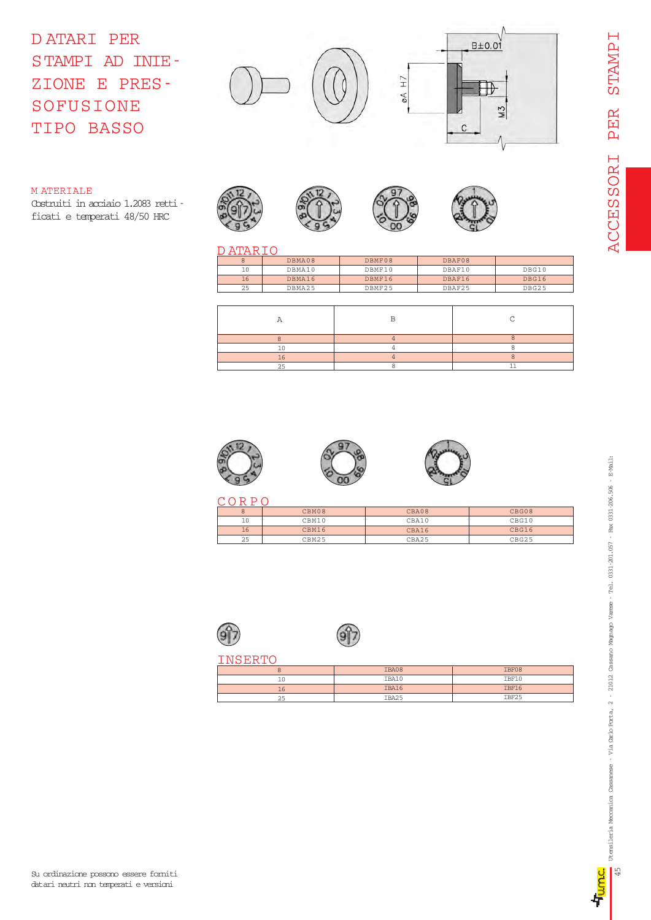D ATARI PER STAMPI AD INIE-ZIONE E PRES-SOFUSIONE TIPO BASSO



#### M ATERIALE

Costruiti in acciaio 1.2083 retti ficati e temperati 48/50 HRC



#### D ATARIO

|    | DBMA08 | DBMF08 | DBAF08 |              |
|----|--------|--------|--------|--------------|
| 10 | DBMA10 | DBMF10 | DBAF10 | DBG10        |
| 16 | DBMA16 | DBMF16 | DBAF16 | <b>DBG16</b> |
| 25 | DBMA25 | DBMF25 | DBAF25 | DBG25        |







| ŏ  | CBM08 | CBA08 | CBG08 |
|----|-------|-------|-------|
| 10 | CBM10 | CBA10 | CBG10 |
| 16 | CBM16 | CBA16 | CBG16 |
| 25 | CBM25 | CBA25 | CBG25 |





|    | IBA08 | IBF08 |
|----|-------|-------|
| 10 | IBA10 | IBF10 |
| 16 | IBA16 | IBF16 |
| 25 | IBA25 | IBF25 |

坾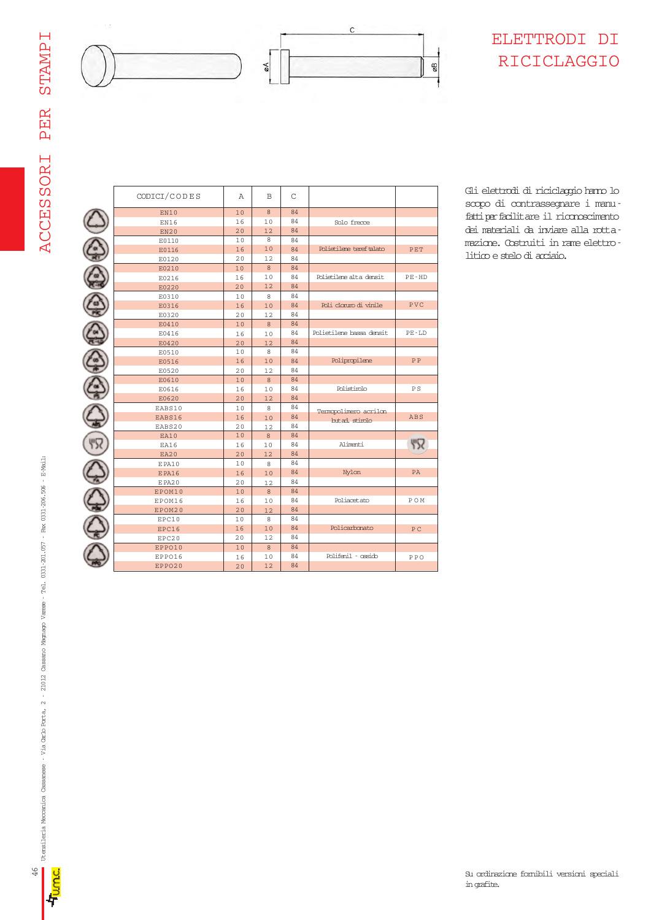

#### ELETTRODI DI RICICLAGGIO

C C C C C C C C C C C C C C C C

| CODICI/CODES | A              | <sub>B</sub> | $\mathsf{C}$ |                          |           |
|--------------|----------------|--------------|--------------|--------------------------|-----------|
| EN10         | 10             | 8            | 84           |                          |           |
| EN16         | 16             | 10           | 84           | Solo frecce              |           |
| EN20         | 20             | 12           | 84           |                          |           |
| E0110        | 1 <sub>0</sub> | 8            | 84           |                          |           |
| E0116        | 16             | 10           | 84           | Polietilene teref talato | PET       |
| E0120        | 20             | 12           | 84           |                          |           |
| E0210        | 10             | 8            | 84           |                          |           |
| E0216        | 16             | 10           | 84           | Polietilene alta densit  | $PE - HD$ |
| E0220        | 20             | 12           | 84           |                          |           |
| E0310        | 1 <sub>0</sub> | 8            | 84           |                          |           |
| E0316        | 16             | 10           | 84           | Poli clonxo di vinile    | PVC       |
| E0320        | 20             | 12           | 84           |                          |           |
| E0410        | 10             | $\mathbf{8}$ | 84           |                          |           |
| E0416        | 16             | 10           | 84           | Polietilene bassa densit | PE-LD     |
| E0420        | 20             | 12           | 84           |                          |           |
| E0510        | 10             | 8            | 84           |                          |           |
| E0516        | 16             | 10           | 84           | Polipropilene            | PP        |
| E0520        | 20             | 12           | 84           |                          |           |
| E0610        | 10             | 8            | 84           |                          |           |
| E0616        | 16             | 10           | 84           | Polistirolo              | ΡS        |
| E0620        | 20             | 12           | 84           |                          |           |
| EABS10       | 10             | 8            | 84           |                          |           |
| EABS16       | 16             | 10           | 84           | Termopolimero acrilon    | ABS       |
| EABS20       | 20             | 12           | 84           | but ad. stirolo          |           |
| EA10         | 10             | 8            | 84           |                          |           |
| EA16         | 16             | 10           | 84           | Alimenti                 | 57        |
| EA20         | 20             | 12           | 84           |                          |           |
| EPA10        | 10             | 8            | 84           |                          |           |
| <b>EPA16</b> | 16             | 10           | 84           | Nylon                    | PA        |
| EPA20        | 20             | 12           | 84           |                          |           |
| EPOM10       | 10             | 8            | 84           |                          |           |
| EPOM16       | 16             | 10           | 84           | Poliacetato              | POM       |
| EPOM20       | 20             | 12           | 84           |                          |           |
| EPC10        | 10             | 8            | 84           |                          |           |
| EPC16        | 16             | 10           | 84           | Policarbonato            | PC.       |
| EPC20        | 20             | 12           | 84           |                          |           |
| EPPO10       | 10             | 8            | 84           |                          |           |
| EPPO16       | 16             | 10           | 84           | Polifenil - ossido       | PPO       |
| EPPO20       | 20             | 12           | 84           |                          |           |

Gli elettrodi di riciclaggio hanno lo scopo di contrassegnare i manu fatti per facilitare il riconoscimento dei materiali da inviare alla rottamazione. Costruiti in rame elettrolitico e stelo di acciaio.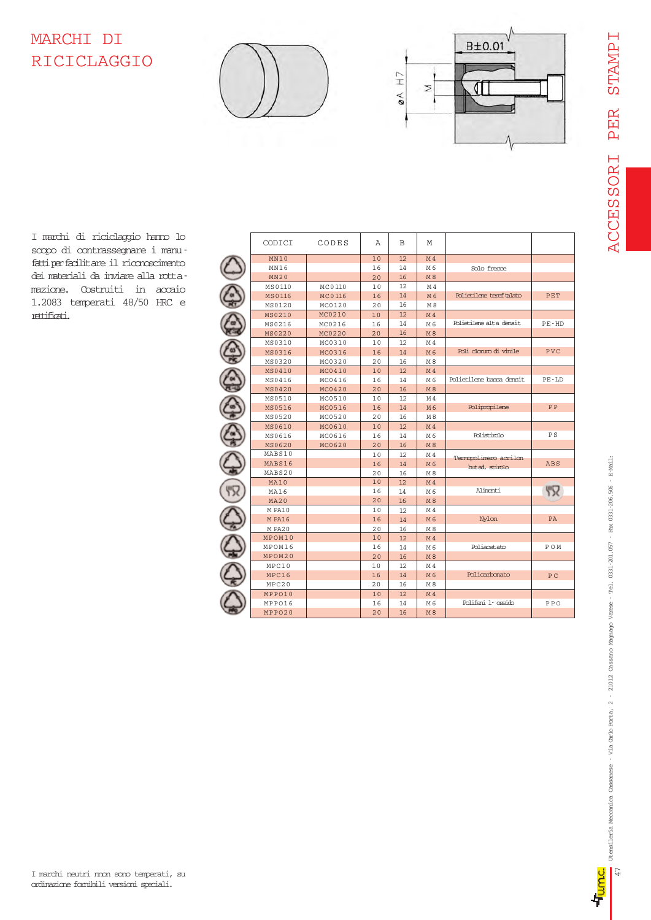# **TAMPIS** ACCESSORI PER STAMPI PER **ACCESSORI**

## MARCHI DI RICICLAGGIO





I marchi di riciclaggio hanno lo scopo di contrassegnare i manufatti per facilitare il riconoscimento dei materiali da inviare alla rottamazione. Costruiti in accaio 1.2083 temperati 48/50 HRC e rettificati.

| CODICI      | CODES  | Α  | B   | М              |                          |            |
|-------------|--------|----|-----|----------------|--------------------------|------------|
| MN10        |        | 10 | 12  | M <sub>4</sub> |                          |            |
| MN16        |        | 16 | 14  | M 6            | Solo frecce              |            |
| <b>MN20</b> |        | 20 | 16  | M8             |                          |            |
| MS0110      | MC0110 | 10 | 12  | M4             |                          |            |
| MS0116      | MC0116 | 16 | 14  | M6             | Polietilene teref talato | PET        |
| MS0120      | MC0120 | 20 | 16  | M <sub>8</sub> |                          |            |
| MS0210      | MC0210 | 10 | 12  | M <sub>4</sub> |                          |            |
| MS0216      | MC0216 | 16 | 14  | M 6            | Polietilere alta densit. | PE-HD      |
| MS0220      | MC0220 | 20 | 16  | M 8            |                          |            |
| MS0310      | MC0310 | 10 | 12  | M4             |                          |            |
| MS0316      | MC0316 | 16 | 14  | M6             | Poli clonmo di vinile    | PVC        |
| MS0320      | MC0320 | 20 | 16  | M 8            |                          |            |
| MS0410      | MC0410 | 10 | 12  | M <sub>4</sub> |                          |            |
| MS0416      | MC0416 | 16 | 14  | M 6            | Polietilene bassa densit | PE-LD      |
| MS0420      | MC0420 | 20 | 16  | M8             |                          |            |
| MS0510      | MC0510 | 10 | 12  | M <sub>4</sub> |                          |            |
| MS0516      | MC0516 | 16 | 14  | M 6            | Polipropilene            | PP         |
| MS0520      | MC0520 | 20 | 16  | M 8            |                          |            |
| MS0610      | MC0610 | 10 | 12  | M <sub>4</sub> |                          |            |
| MS0616      | MC0616 | 16 | 14  | M 6            | Polistimlo               | P S        |
| MS0620      | MC0620 | 20 | 16  | M8             |                          |            |
| MABS10      |        | 10 | 12  | M4             | Termopolimero acrilon    |            |
| MABS16      |        | 16 | 14  | M6             | bit ad. stimlo           | <b>ABS</b> |
| MABS20      |        | 20 | 16  | M <sub>8</sub> |                          |            |
| MA10        |        | 10 | 12  | M <sub>4</sub> |                          |            |
| MA16        |        | 16 | 14  | M 6            | Alimenti                 | 536        |
| <b>MA20</b> |        | 20 | 16  | M8             |                          |            |
| M PA10      |        | 10 | 12. | M4             |                          |            |
| M PA16      |        | 16 | 14  | M6             | <b>Nylon</b>             | PA         |
| M PA20      |        | 20 | 16  | $\mathbb{M}$ 8 |                          |            |
| MPOM10      |        | 10 | 12  | M <sub>4</sub> |                          |            |
| MPOM16      |        | 16 | 14  | M 6            | Poliacetato              | POM        |
| MPOM20      |        | 20 | 16  | M 8            |                          |            |
| MPC10       |        | 10 | 12  | M4             |                          |            |
| MPC16       |        | 16 | 14  | M6             | Policarbonato            | PC         |
| MPC20       |        | 20 | 16  | M 8            |                          |            |
| MPPO10      |        | 10 | 12. | M <sub>4</sub> |                          |            |
| MPPO16      |        | 16 | 14  | M 6            | Polifeni 1- ossido       | PPO        |
| MPPO20      |        | 20 | 16  | <b>M8</b>      |                          |            |

卓